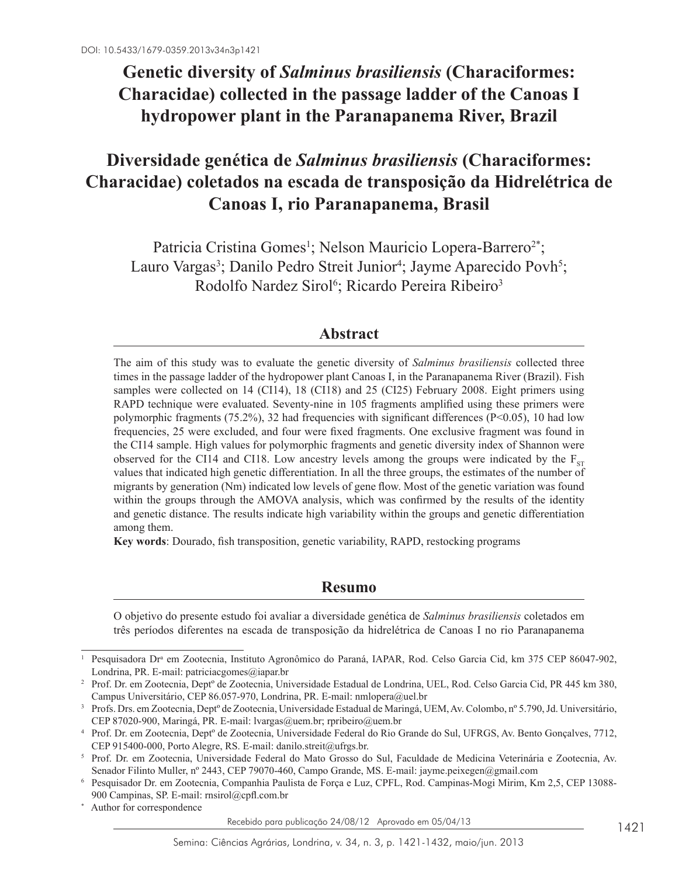# **Genetic diversity of** *Salminus brasiliensis* **(Characiformes: Characidae) collected in the passage ladder of the Canoas I hydropower plant in the Paranapanema River, Brazil**

# **Diversidade genética de** *Salminus brasiliensis* **(Characiformes: Characidae) coletados na escada de transposição da Hidrelétrica de Canoas I, rio Paranapanema, Brasil**

Patricia Cristina Gomes<sup>1</sup>; Nelson Mauricio Lopera-Barrero<sup>2\*</sup>; Lauro Vargas<sup>3</sup>; Danilo Pedro Streit Junior<sup>4</sup>; Jayme Aparecido Povh<sup>5</sup>; Rodolfo Nardez Sirol<sup>6</sup>; Ricardo Pereira Ribeiro<sup>3</sup>

# **Abstract**

The aim of this study was to evaluate the genetic diversity of *Salminus brasiliensis* collected three times in the passage ladder of the hydropower plant Canoas I, in the Paranapanema River (Brazil). Fish samples were collected on 14 (CI14), 18 (CI18) and 25 (CI25) February 2008. Eight primers using RAPD technique were evaluated. Seventy-nine in 105 fragments amplified using these primers were polymorphic fragments (75.2%), 32 had frequencies with significant differences ( $P < 0.05$ ), 10 had low frequencies, 25 were excluded, and four were fixed fragments. One exclusive fragment was found in the CI14 sample. High values for polymorphic fragments and genetic diversity index of Shannon were observed for the CI14 and CI18. Low ancestry levels among the groups were indicated by the  $F_{ST}$ values that indicated high genetic differentiation. In all the three groups, the estimates of the number of migrants by generation (Nm) indicated low levels of gene flow. Most of the genetic variation was found within the groups through the AMOVA analysis, which was confirmed by the results of the identity and genetic distance. The results indicate high variability within the groups and genetic differentiation among them.

**Key words**: Dourado, fish transposition, genetic variability, RAPD, restocking programs

# **Resumo**

O objetivo do presente estudo foi avaliar a diversidade genética de *Salminus brasiliensis* coletados em três períodos diferentes na escada de transposição da hidrelétrica de Canoas I no rio Paranapanema

Author for correspondence

Recebido para publicação 24/08/12 Aprovado em 05/04/13

<sup>&</sup>lt;sup>1</sup> Pesquisadora Dr<sup>a</sup> em Zootecnia, Instituto Agronômico do Paraná, IAPAR, Rod. Celso Garcia Cid, km 375 CEP 86047-902, Londrina, PR. E-mail: patriciacgomes@iapar.br

<sup>2</sup> Prof. Dr. em Zootecnia, Deptº de Zootecnia, Universidade Estadual de Londrina, UEL, Rod. Celso Garcia Cid, PR 445 km 380, Campus Universitário, CEP 86.057-970, Londrina, PR. E-mail: nmlopera@uel.br

<sup>3</sup> Profs. Drs. em Zootecnia, Deptº de Zootecnia, Universidade Estadual de Maringá, UEM, Av. Colombo, nº 5.790, Jd. Universitário, CEP 87020-900, Maringá, PR. E-mail: lvargas@uem.br; rpribeiro@uem.br

<sup>4</sup> Prof. Dr. em Zootecnia, Deptº de Zootecnia, Universidade Federal do Rio Grande do Sul, UFRGS, Av. Bento Gonçalves, 7712, CEP 915400-000, Porto Alegre, RS. E-mail: danilo.streit@ufrgs.br.

<sup>5</sup> Prof. Dr. em Zootecnia, Universidade Federal do Mato Grosso do Sul, Faculdade de Medicina Veterinária e Zootecnia, Av. Senador Filinto Muller, nº 2443, CEP 79070-460, Campo Grande, MS. E-mail: jayme.peixegen@gmail.com

<sup>6</sup> Pesquisador Dr. em Zootecnia, Companhia Paulista de Força e Luz, CPFL, Rod. Campinas-Mogi Mirim, Km 2,5, CEP 13088- 900 Campinas, SP. E-mail: rnsirol@cpfl.com.br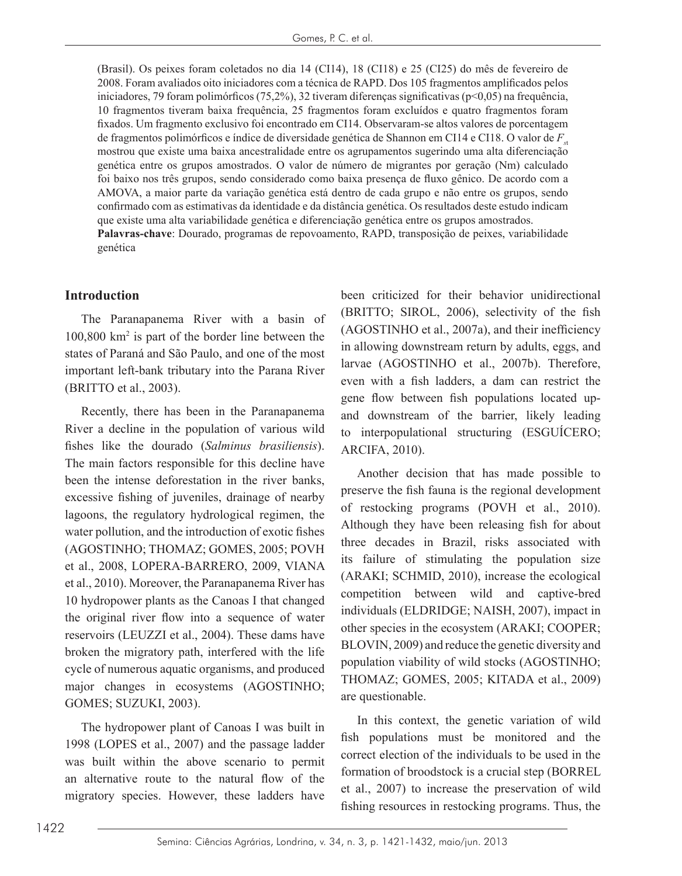(Brasil). Os peixes foram coletados no dia 14 (CI14), 18 (CI18) e 25 (CI25) do mês de fevereiro de 2008. Foram avaliados oito iniciadores com a técnica de RAPD. Dos 105 fragmentos amplificados pelos iniciadores, 79 foram polimórficos (75,2%), 32 tiveram diferenças significativas ( $p<0,05$ ) na frequência, 10 fragmentos tiveram baixa frequência, 25 fragmentos foram excluídos e quatro fragmentos foram fixados. Um fragmento exclusivo foi encontrado em CI14. Observaram-se altos valores de porcentagem de fragmentos polimórficos e índice de diversidade genética de Shannon em CI14 e CI18. O valor de  $F<sub>1</sub>$ mostrou que existe uma baixa ancestralidade entre os agrupamentos sugerindo uma alta diferenciação genética entre os grupos amostrados. O valor de número de migrantes por geração (Nm) calculado foi baixo nos três grupos, sendo considerado como baixa presença de fluxo gênico. De acordo com a AMOVA, a maior parte da variação genética está dentro de cada grupo e não entre os grupos, sendo confirmado com as estimativas da identidade e da distância genética. Os resultados deste estudo indicam que existe uma alta variabilidade genética e diferenciação genética entre os grupos amostrados. **Palavras-chave**: Dourado, programas de repovoamento, RAPD, transposição de peixes, variabilidade genética

#### **Introduction**

The Paranapanema River with a basin of 100,800 km<sup>2</sup> is part of the border line between the states of Paraná and São Paulo, and one of the most important left-bank tributary into the Parana River (BRITTO et al., 2003).

Recently, there has been in the Paranapanema River a decline in the population of various wild fishes like the dourado (*Salminus brasiliensis*). The main factors responsible for this decline have been the intense deforestation in the river banks, excessive fishing of juveniles, drainage of nearby lagoons, the regulatory hydrological regimen, the water pollution, and the introduction of exotic fishes (AGOSTINHO; THOMAZ; GOMES, 2005; POVH et al., 2008, LOPERA-BARRERO, 2009, VIANA et al., 2010). Moreover, the Paranapanema River has 10 hydropower plants as the Canoas I that changed the original river flow into a sequence of water reservoirs (LEUZZI et al., 2004). These dams have broken the migratory path, interfered with the life cycle of numerous aquatic organisms, and produced major changes in ecosystems (AGOSTINHO; GOMES; SUZUKI, 2003).

The hydropower plant of Canoas I was built in 1998 (LOPES et al., 2007) and the passage ladder was built within the above scenario to permit an alternative route to the natural flow of the migratory species. However, these ladders have

been criticized for their behavior unidirectional (BRITTO; SIROL, 2006), selectivity of the fish (AGOSTINHO et al., 2007a), and their inefficiency in allowing downstream return by adults, eggs, and larvae (AGOSTINHO et al., 2007b). Therefore, even with a fish ladders, a dam can restrict the gene flow between fish populations located upand downstream of the barrier, likely leading to interpopulational structuring (ESGUÍCERO; ARCIFA, 2010).

Another decision that has made possible to preserve the fish fauna is the regional development of restocking programs (POVH et al., 2010). Although they have been releasing fish for about three decades in Brazil, risks associated with its failure of stimulating the population size (ARAKI; SCHMID, 2010), increase the ecological competition between wild and captive-bred individuals (ELDRIDGE; NAISH, 2007), impact in other species in the ecosystem (ARAKI; COOPER; BLOVIN, 2009) and reduce the genetic diversity and population viability of wild stocks (AGOSTINHO; THOMAZ; GOMES, 2005; KITADA et al., 2009) are questionable.

In this context, the genetic variation of wild fish populations must be monitored and the correct election of the individuals to be used in the formation of broodstock is a crucial step (BORREL et al., 2007) to increase the preservation of wild fishing resources in restocking programs. Thus, the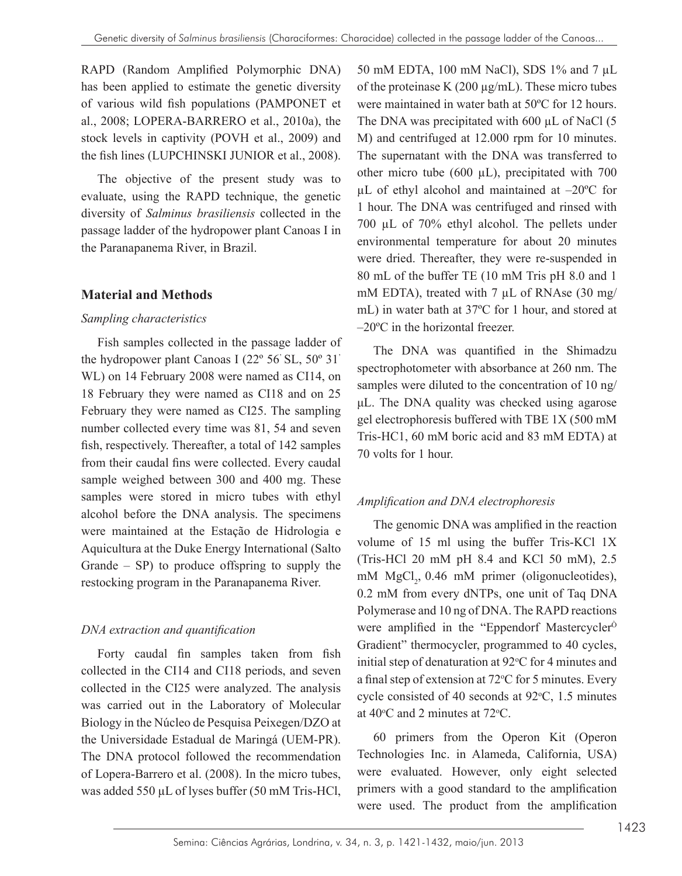RAPD (Random Amplified Polymorphic DNA) has been applied to estimate the genetic diversity of various wild fish populations (PAMPONET et al., 2008; LOPERA-BARRERO et al., 2010a), the stock levels in captivity (POVH et al., 2009) and the fish lines (LUPCHINSKI JUNIOR et al., 2008).

The objective of the present study was to evaluate, using the RAPD technique, the genetic diversity of *Salminus brasiliensis* collected in the passage ladder of the hydropower plant Canoas I in the Paranapanema River, in Brazil.

## **Material and Methods**

#### *Sampling characteristics*

Fish samples collected in the passage ladder of the hydropower plant Canoas I (22º 56<sup>&#</sup>x27;SL, 50º 31<sup>&#</sup>x27;</sup> WL) on 14 February 2008 were named as CI14, on 18 February they were named as CI18 and on 25 February they were named as CI25. The sampling number collected every time was 81, 54 and seven fish, respectively. Thereafter, a total of 142 samples from their caudal fins were collected. Every caudal sample weighed between 300 and 400 mg. These samples were stored in micro tubes with ethyl alcohol before the DNA analysis. The specimens were maintained at the Estação de Hidrologia e Aquicultura at the Duke Energy International (Salto Grande – SP) to produce offspring to supply the restocking program in the Paranapanema River.

# *DNA extraction and quantification*

Forty caudal fin samples taken from fish collected in the CI14 and CI18 periods, and seven collected in the CI25 were analyzed. The analysis was carried out in the Laboratory of Molecular Biology in the Núcleo de Pesquisa Peixegen/DZO at the Universidade Estadual de Maringá (UEM-PR). The DNA protocol followed the recommendation of Lopera-Barrero et al. (2008). In the micro tubes, was added 550 µL of lyses buffer (50 mM Tris-HCl,

50 mM EDTA, 100 mM NaCl), SDS 1% and 7 µL of the proteinase K  $(200 \mu g/mL)$ . These micro tubes were maintained in water bath at 50ºC for 12 hours. The DNA was precipitated with 600 µL of NaCl (5 M) and centrifuged at 12.000 rpm for 10 minutes. The supernatant with the DNA was transferred to other micro tube (600 µL), precipitated with 700 µL of ethyl alcohol and maintained at –20ºC for 1 hour. The DNA was centrifuged and rinsed with 700 µL of 70% ethyl alcohol. The pellets under environmental temperature for about 20 minutes were dried. Thereafter, they were re-suspended in 80 mL of the buffer TE (10 mM Tris pH 8.0 and 1 mM EDTA), treated with 7 µL of RNAse (30 mg/ mL) in water bath at 37ºC for 1 hour, and stored at –20ºC in the horizontal freezer.

The DNA was quantified in the Shimadzu spectrophotometer with absorbance at 260 nm. The samples were diluted to the concentration of 10 ng/ μL. The DNA quality was checked using agarose gel electrophoresis buffered with TBE 1X (500 mM Tris-HC1, 60 mM boric acid and 83 mM EDTA) at 70 volts for 1 hour.

## *Amplification and DNA electrophoresis*

The genomic DNA was amplified in the reaction volume of 15 ml using the buffer Tris-KCl 1X (Tris-HCl 20 mM pH 8.4 and KCl 50 mM), 2.5 mM  $MgCl<sub>2</sub>$ , 0.46 mM primer (oligonucleotides), 0.2 mM from every dNTPs, one unit of Taq DNA Polymerase and 10 ng of DNA. The RAPD reactions were amplified in the "Eppendorf Mastercycler<sup>o</sup> Gradient" thermocycler, programmed to 40 cycles, initial step of denaturation at  $92^{\circ}$ C for 4 minutes and a final step of extension at  $72^{\circ}$ C for 5 minutes. Every cycle consisted of 40 seconds at  $92^{\circ}$ C, 1.5 minutes at 40 $\degree$ C and 2 minutes at 72 $\degree$ C.

60 primers from the Operon Kit (Operon Technologies Inc. in Alameda, California, USA) were evaluated. However, only eight selected primers with a good standard to the amplification were used. The product from the amplification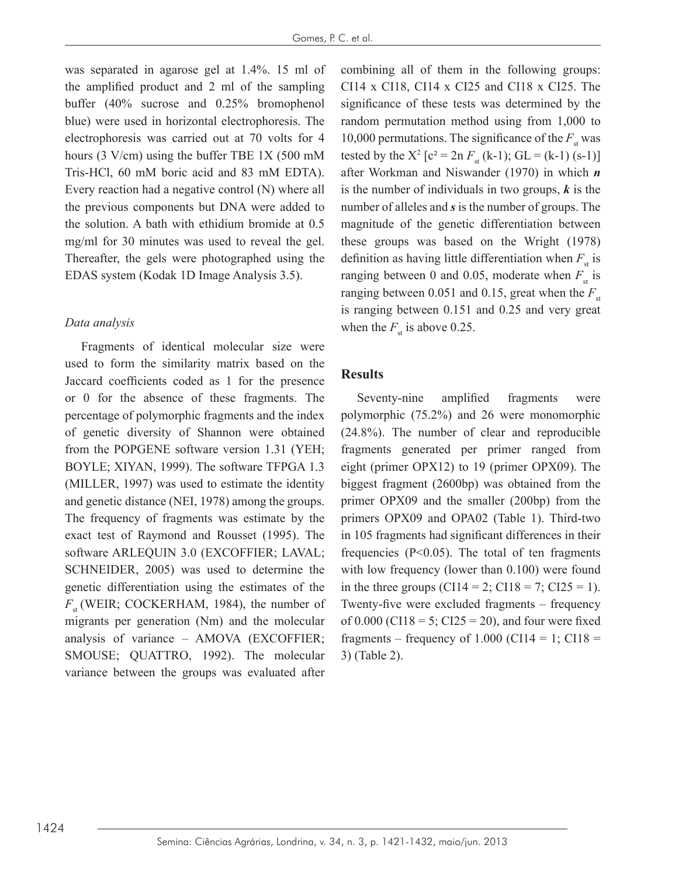was separated in agarose gel at 1.4%. 15 ml of the amplified product and 2 ml of the sampling buffer (40% sucrose and 0.25% bromophenol blue) were used in horizontal electrophoresis. The electrophoresis was carried out at 70 volts for 4 hours (3 V/cm) using the buffer TBE 1X (500 mM Tris-HCl, 60 mM boric acid and 83 mM EDTA). Every reaction had a negative control (N) where all the previous components but DNA were added to the solution. A bath with ethidium bromide at 0.5 mg/ml for 30 minutes was used to reveal the gel. Thereafter, the gels were photographed using the EDAS system (Kodak 1D Image Analysis 3.5).

#### *Data analysis*

Fragments of identical molecular size were used to form the similarity matrix based on the Jaccard coefficients coded as 1 for the presence or 0 for the absence of these fragments. The percentage of polymorphic fragments and the index of genetic diversity of Shannon were obtained from the POPGENE software version 1.31 (YEH; BOYLE; XIYAN, 1999). The software TFPGA 1.3 (MILLER, 1997) was used to estimate the identity and genetic distance (NEI, 1978) among the groups. The frequency of fragments was estimate by the exact test of Raymond and Rousset (1995). The software ARLEQUIN 3.0 (EXCOFFIER; LAVAL; SCHNEIDER, 2005) was used to determine the genetic differentiation using the estimates of the *F*<sub>st</sub> (WEIR; COCKERHAM, 1984), the number of migrants per generation (Nm) and the molecular analysis of variance – AMOVA (EXCOFFIER; SMOUSE; QUATTRO, 1992). The molecular variance between the groups was evaluated after

combining all of them in the following groups: CI14 x CI18, CI14 x CI25 and CI18 x CI25. The significance of these tests was determined by the random permutation method using from 1,000 to 10,000 permutations. The significance of the  $F<sub>st</sub>$  was tested by the  $X^2$  [c<sup>2</sup> = 2n  $F_{st}$  (k-1); GL = (k-1) (s-1)] after Workman and Niswander (1970) in which *n* is the number of individuals in two groups, *k* is the number of alleles and *s* is the number of groups. The magnitude of the genetic differentiation between these groups was based on the Wright (1978) definition as having little differentiation when  $F_{st}$  is ranging between 0 and 0.05, moderate when  $F_{\text{st}}$  is ranging between 0.051 and 0.15, great when the  $F_{\text{st}}$ is ranging between 0.151 and 0.25 and very great when the  $F<sub>st</sub>$  is above 0.25.

#### **Results**

Seventy-nine amplified fragments were polymorphic (75.2%) and 26 were monomorphic (24.8%). The number of clear and reproducible fragments generated per primer ranged from eight (primer OPX12) to 19 (primer OPX09). The biggest fragment (2600bp) was obtained from the primer OPX09 and the smaller (200bp) from the primers OPX09 and OPA02 (Table 1). Third-two in 105 fragments had significant differences in their frequencies  $(P<0.05)$ . The total of ten fragments with low frequency (lower than 0.100) were found in the three groups (CI14 = 2; CI18 = 7; CI25 = 1). Twenty-five were excluded fragments – frequency of 0.000 (CI18 = 5; CI25 = 20), and four were fixed fragments – frequency of  $1.000$  (CI14 = 1; CI18 = 3) (Table 2).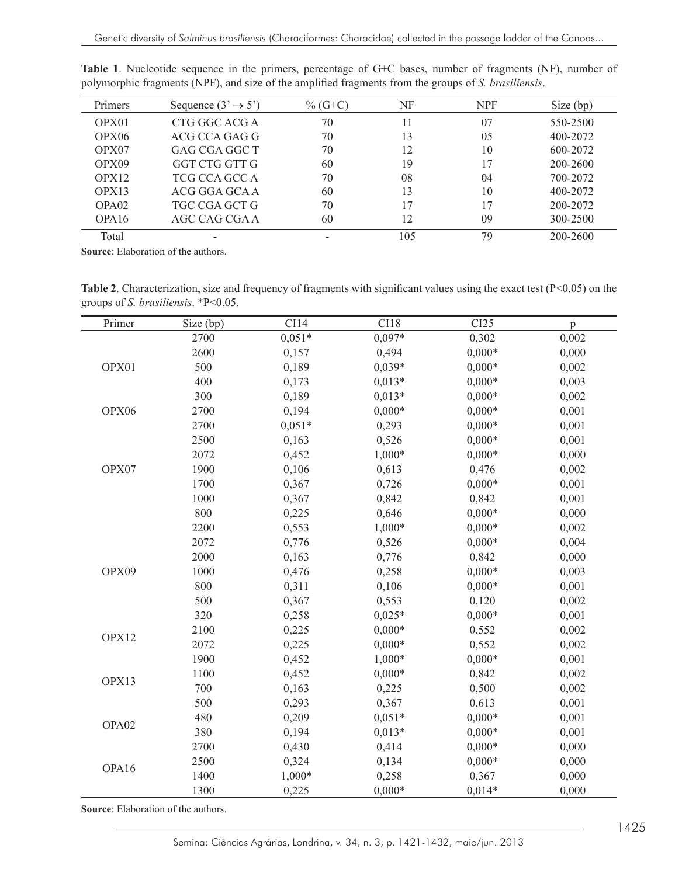| <b>Primers</b>    | Sequence $(3 \rightarrow 5')$ | $\%$ (G+C) | NF  | <b>NPF</b> | Size (bp) |
|-------------------|-------------------------------|------------|-----|------------|-----------|
| OPX01             | CTG GGC ACG A                 | 70         | 11  | 07         | 550-2500  |
| OPX <sub>06</sub> | ACG CCA GAG G                 | 70         | 13  | 05         | 400-2072  |
| OPX07             | GAG CGA GGC T                 | 70         | 12  | 10         | 600-2072  |
| OPX09             | GGT CTG GTT G                 | 60         | 19  |            | 200-2600  |
| OPX12             | TCG CCA GCC A                 | 70         | 08  | 04         | 700-2072  |
| OPX13             | ACG GGA GCA A                 | 60         | 13  | 10         | 400-2072  |
| OPA02             | TGC CGA GCT G                 | 70         | 17  |            | 200-2072  |
| OPA <sub>16</sub> | AGC CAG CGA A                 | 60         | 12  | 09         | 300-2500  |
| Total             |                               |            | 105 | 79         | 200-2600  |

**Table 1**. Nucleotide sequence in the primers, percentage of G+C bases, number of fragments (NF), number of polymorphic fragments (NPF), and size of the amplified fragments from the groups of *S. brasiliensis*.

**Source**: Elaboration of the authors.

**Table 2**. Characterization, size and frequency of fragments with significant values using the exact test ( $P < 0.05$ ) on the groups of *S. brasiliensis*. \*P<0.05.

| Primer | Size (bp) | CI14     | CI18     | CI25     | $\mathbf{p}$ |
|--------|-----------|----------|----------|----------|--------------|
|        | 2700      | $0,051*$ | $0,097*$ | 0,302    | 0,002        |
| OPX01  | 2600      | 0,157    | 0,494    | $0,000*$ | 0,000        |
|        | 500       | 0,189    | $0,039*$ | $0,000*$ | 0,002        |
|        | 400       | 0,173    | $0,013*$ | $0,000*$ | 0,003        |
|        | 300       | 0,189    | $0,013*$ | $0,000*$ | 0,002        |
| OPX06  | 2700      | 0,194    | $0,000*$ | $0,000*$ | 0,001        |
|        | 2700      | $0,051*$ | 0,293    | $0,000*$ | 0,001        |
|        | 2500      | 0,163    | 0,526    | $0,000*$ | 0,001        |
|        | 2072      | 0,452    | $1,000*$ | $0,000*$ | 0,000        |
| OPX07  | 1900      | 0,106    | 0,613    | 0,476    | 0,002        |
|        | 1700      | 0,367    | 0,726    | $0,000*$ | 0,001        |
|        | 1000      | 0,367    | 0,842    | 0,842    | 0,001        |
|        | 800       | 0,225    | 0,646    | $0,000*$ | 0,000        |
|        | 2200      | 0,553    | $1,000*$ | $0,000*$ | 0,002        |
|        | 2072      | 0,776    | 0,526    | $0,000*$ | 0,004        |
|        | 2000      | 0,163    | 0,776    | 0,842    | 0,000        |
| OPX09  | 1000      | 0,476    | 0,258    | $0,000*$ | 0,003        |
|        | 800       | 0,311    | 0,106    | $0,000*$ | 0,001        |
|        | 500       | 0,367    | 0,553    | 0,120    | 0,002        |
|        | 320       | 0,258    | $0,025*$ | $0,000*$ | 0,001        |
| OPX12  | 2100      | 0,225    | $0,000*$ | 0,552    | 0,002        |
|        | 2072      | 0,225    | $0,000*$ | 0,552    | 0,002        |
|        | 1900      | 0,452    | $1,000*$ | $0,000*$ | 0,001        |
| OPX13  | 1100      | 0,452    | $0,000*$ | 0,842    | 0,002        |
|        | 700       | 0,163    | 0,225    | 0,500    | 0,002        |
|        | 500       | 0,293    | 0,367    | 0,613    | 0,001        |
|        | 480       | 0,209    | $0,051*$ | $0,000*$ | 0,001        |
| OPA02  | 380       | 0,194    | $0,013*$ | $0,000*$ | 0,001        |
|        | 2700      | 0,430    | 0,414    | $0,000*$ | 0,000        |
|        | 2500      | 0,324    | 0,134    | $0,000*$ | 0,000        |
| OPA16  | 1400      | 1,000*   | 0,258    | 0,367    | 0,000        |
|        | 1300      | 0,225    | $0,000*$ | $0,014*$ | 0,000        |

**Source**: Elaboration of the authors.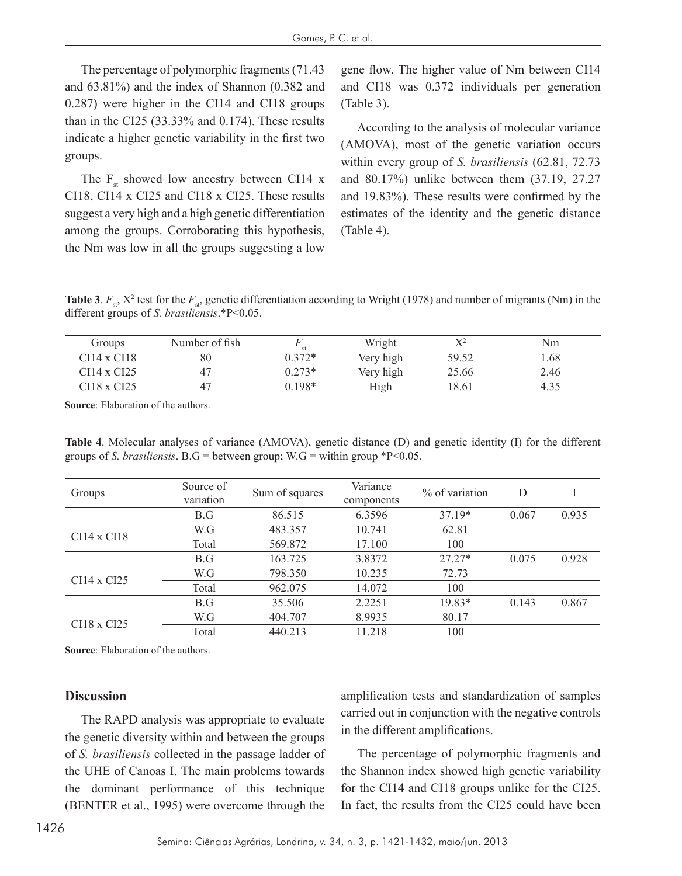The percentage of polymorphic fragments (71.43 and 63.81%) and the index of Shannon (0.382 and 0.287) were higher in the CI14 and CI18 groups than in the CI25 (33.33% and 0.174). These results indicate a higher genetic variability in the first two groups.

The  $F_{st}$  showed low ancestry between CI14 x CI18, CI14 x CI25 and CI18 x CI25. These results suggest a very high and a high genetic differentiation among the groups. Corroborating this hypothesis, the Nm was low in all the groups suggesting a low gene flow. The higher value of Nm between CI14 and CI18 was 0.372 individuals per generation (Table 3).

According to the analysis of molecular variance (AMOVA), most of the genetic variation occurs within every group of *S. brasiliensis* (62.81, 72.73 and 80.17%) unlike between them (37.19, 27.27 and 19.83%). These results were confirmed by the estimates of the identity and the genetic distance (Table 4).

**Table 3**.  $F_{st}$ ,  $X^2$  test for the  $F_{st}$ , genetic differentiation according to Wright (1978) and number of migrants (Nm) in the different groups of *S. brasiliensis*.\*P<0.05.

| Groups      | Number of fish |          | Wright    | V <sub>2</sub> | Nm    |
|-------------|----------------|----------|-----------|----------------|-------|
| CI14 x CI18 | 80             | $0.372*$ | Very high | 59.52          | . .68 |
| CI14 x CI25 |                | $0.273*$ | Very high | 25.66          | 2.46  |
| CI18 x CI25 |                | $0.198*$ | High      | 18.61          | 4.35  |

**Source**: Elaboration of the authors.

**Table 4**. Molecular analyses of variance (AMOVA), genetic distance (D) and genetic identity (I) for the different groups of *S. brasiliensis*. B.G = between group; W.G = within group \*P<0.05.

| Groups             | Source of<br>variation | Sum of squares | Variance<br>components | $\%$ of variation | D     |       |
|--------------------|------------------------|----------------|------------------------|-------------------|-------|-------|
|                    | B.G                    | 86.515         | 6.3596                 | $37.19*$          | 0.067 | 0.935 |
| $CI14 \times CI18$ | W.G                    | 483.357        | 10.741                 | 62.81             |       |       |
|                    | Total                  | 569.872        | 17.100                 | 100               |       |       |
|                    | B.G                    | 163.725        | 3.8372                 | $27.27*$          | 0.075 | 0.928 |
| $CI14 \times CI25$ | W.G                    | 798.350        | 10.235                 | 72.73             |       |       |
|                    | Total                  | 962.075        | 14.072                 | 100               |       |       |
|                    | B.G                    | 35.506         | 2.2251                 | 19.83*            | 0.143 | 0.867 |
| $CI18 \times CI25$ | W.G                    | 404.707        | 8.9935                 | 80.17             |       |       |
|                    | Total                  | 440.213        | 11.218                 | 100               |       |       |

**Source**: Elaboration of the authors.

#### **Discussion**

The RAPD analysis was appropriate to evaluate the genetic diversity within and between the groups of *S. brasiliensis* collected in the passage ladder of the UHE of Canoas I. The main problems towards the dominant performance of this technique (BENTER et al., 1995) were overcome through the

amplification tests and standardization of samples carried out in conjunction with the negative controls in the different amplifications.

The percentage of polymorphic fragments and the Shannon index showed high genetic variability for the CI14 and CI18 groups unlike for the CI25. In fact, the results from the CI25 could have been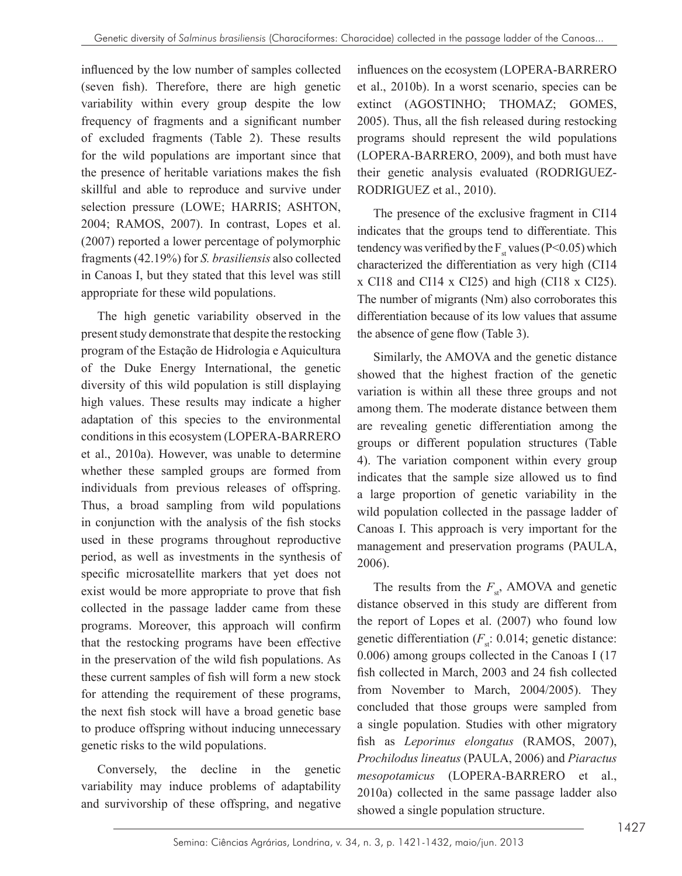influenced by the low number of samples collected (seven fish). Therefore, there are high genetic variability within every group despite the low frequency of fragments and a significant number of excluded fragments (Table 2). These results for the wild populations are important since that the presence of heritable variations makes the fish skillful and able to reproduce and survive under selection pressure (LOWE; HARRIS; ASHTON, 2004; RAMOS, 2007). In contrast, Lopes et al. (2007) reported a lower percentage of polymorphic fragments (42.19%) for *S. brasiliensis* also collected in Canoas I, but they stated that this level was still appropriate for these wild populations.

The high genetic variability observed in the present study demonstrate that despite the restocking program of the Estação de Hidrologia e Aquicultura of the Duke Energy International, the genetic diversity of this wild population is still displaying high values. These results may indicate a higher adaptation of this species to the environmental conditions in this ecosystem (LOPERA-BARRERO et al., 2010a). However, was unable to determine whether these sampled groups are formed from individuals from previous releases of offspring. Thus, a broad sampling from wild populations in conjunction with the analysis of the fish stocks used in these programs throughout reproductive period, as well as investments in the synthesis of specific microsatellite markers that yet does not exist would be more appropriate to prove that fish collected in the passage ladder came from these programs. Moreover, this approach will confirm that the restocking programs have been effective in the preservation of the wild fish populations. As these current samples of fish will form a new stock for attending the requirement of these programs, the next fish stock will have a broad genetic base to produce offspring without inducing unnecessary genetic risks to the wild populations.

Conversely, the decline in the genetic variability may induce problems of adaptability and survivorship of these offspring, and negative influences on the ecosystem (LOPERA-BARRERO et al., 2010b). In a worst scenario, species can be extinct (AGOSTINHO; THOMAZ; GOMES, 2005). Thus, all the fish released during restocking programs should represent the wild populations (LOPERA-BARRERO, 2009), and both must have their genetic analysis evaluated (RODRIGUEZ-RODRIGUEZ et al., 2010).

The presence of the exclusive fragment in CI14 indicates that the groups tend to differentiate. This tendency was verified by the  $F<sub>st</sub>$  values (P<0.05) which characterized the differentiation as very high (CI14 x CI18 and CI14 x CI25) and high (CI18 x CI25). The number of migrants (Nm) also corroborates this differentiation because of its low values that assume the absence of gene flow (Table 3).

Similarly, the AMOVA and the genetic distance showed that the highest fraction of the genetic variation is within all these three groups and not among them. The moderate distance between them are revealing genetic differentiation among the groups or different population structures (Table 4). The variation component within every group indicates that the sample size allowed us to find a large proportion of genetic variability in the wild population collected in the passage ladder of Canoas I. This approach is very important for the management and preservation programs (PAULA, 2006).

The results from the  $F_{st}$ , AMOVA and genetic distance observed in this study are different from the report of Lopes et al. (2007) who found low genetic differentiation  $(F_{st}: 0.014;$  genetic distance: 0.006) among groups collected in the Canoas I (17 fish collected in March, 2003 and 24 fish collected from November to March, 2004/2005). They concluded that those groups were sampled from a single population. Studies with other migratory fish as *Leporinus elongatus* (RAMOS, 2007), *Prochilodus lineatus* (PAULA, 2006) and *Piaractus mesopotamicus* (LOPERA-BARRERO et al., 2010a) collected in the same passage ladder also showed a single population structure.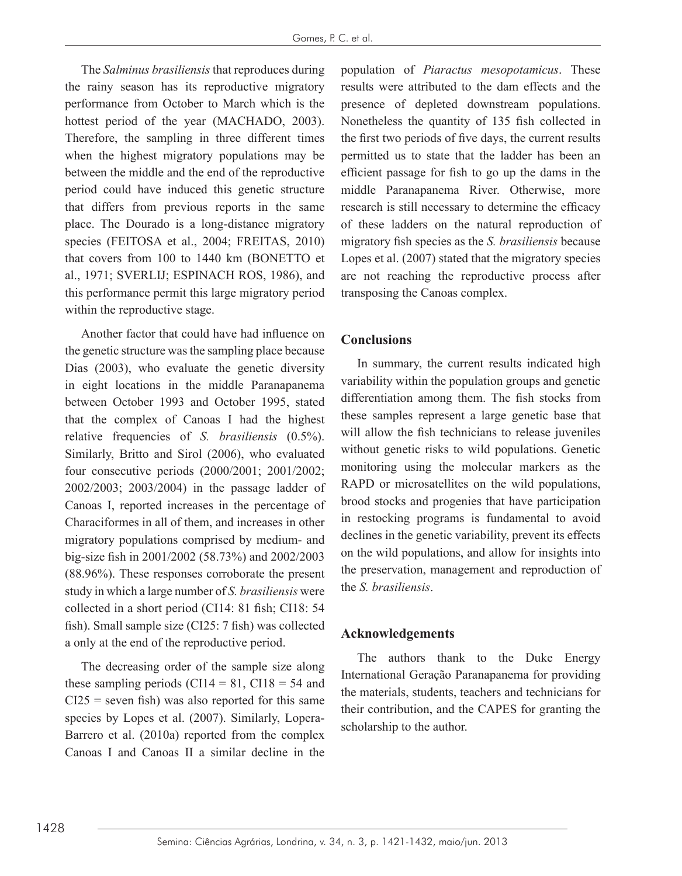The *Salminus brasiliensis* that reproduces during the rainy season has its reproductive migratory performance from October to March which is the hottest period of the year (MACHADO, 2003). Therefore, the sampling in three different times when the highest migratory populations may be between the middle and the end of the reproductive period could have induced this genetic structure that differs from previous reports in the same place. The Dourado is a long-distance migratory species (FEITOSA et al., 2004; FREITAS, 2010) that covers from 100 to 1440 km (BONETTO et al., 1971; SVERLIJ; ESPINACH ROS, 1986), and this performance permit this large migratory period within the reproductive stage.

Another factor that could have had influence on the genetic structure was the sampling place because Dias (2003), who evaluate the genetic diversity in eight locations in the middle Paranapanema between October 1993 and October 1995, stated that the complex of Canoas I had the highest relative frequencies of *S. brasiliensis* (0.5%). Similarly, Britto and Sirol (2006), who evaluated four consecutive periods (2000/2001; 2001/2002; 2002/2003; 2003/2004) in the passage ladder of Canoas I, reported increases in the percentage of Characiformes in all of them, and increases in other migratory populations comprised by medium- and big-size fish in 2001/2002 (58.73%) and 2002/2003 (88.96%). These responses corroborate the present study in which a large number of *S. brasiliensis* were collected in a short period (CI14: 81 fish; CI18: 54 fish). Small sample size (CI25: 7 fish) was collected a only at the end of the reproductive period.

The decreasing order of the sample size along these sampling periods (CI14 = 81, CI18 = 54 and  $CI25$  = seven fish) was also reported for this same species by Lopes et al. (2007). Similarly, Lopera-Barrero et al. (2010a) reported from the complex Canoas I and Canoas II a similar decline in the population of *Piaractus mesopotamicus*. These results were attributed to the dam effects and the presence of depleted downstream populations. Nonetheless the quantity of 135 fish collected in the first two periods of five days, the current results permitted us to state that the ladder has been an efficient passage for fish to go up the dams in the middle Paranapanema River. Otherwise, more research is still necessary to determine the efficacy of these ladders on the natural reproduction of migratory fish species as the *S. brasiliensis* because Lopes et al. (2007) stated that the migratory species are not reaching the reproductive process after transposing the Canoas complex.

## **Conclusions**

In summary, the current results indicated high variability within the population groups and genetic differentiation among them. The fish stocks from these samples represent a large genetic base that will allow the fish technicians to release juveniles without genetic risks to wild populations. Genetic monitoring using the molecular markers as the RAPD or microsatellites on the wild populations, brood stocks and progenies that have participation in restocking programs is fundamental to avoid declines in the genetic variability, prevent its effects on the wild populations, and allow for insights into the preservation, management and reproduction of the *S. brasiliensis*.

## **Acknowledgements**

The authors thank to the Duke Energy International Geração Paranapanema for providing the materials, students, teachers and technicians for their contribution, and the CAPES for granting the scholarship to the author.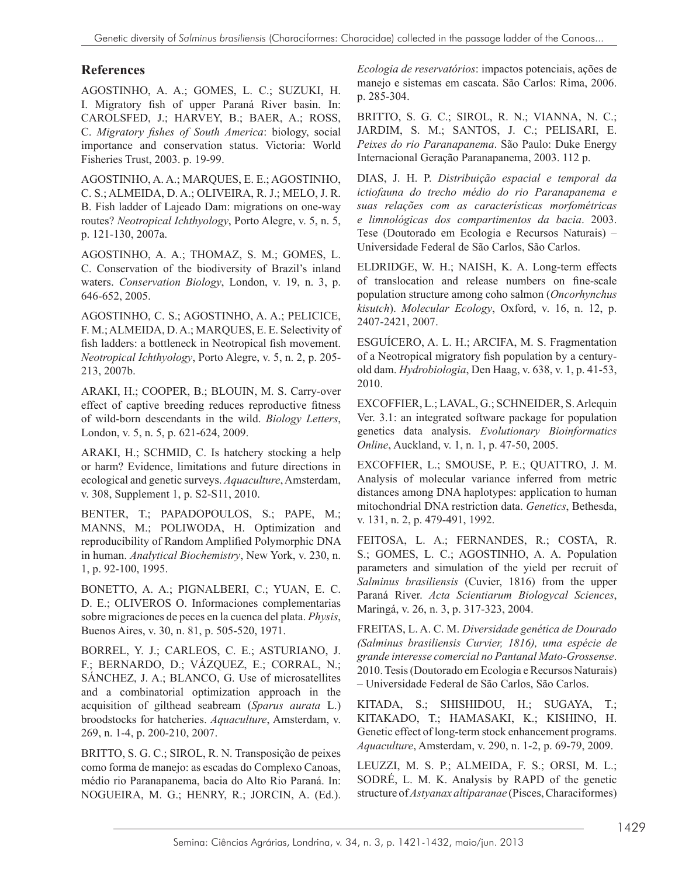#### **References**

AGOSTINHO, A. A.; GOMES, L. C.; SUZUKI, H. I. Migratory fish of upper Paraná River basin. In: CAROLSFED, J.; HARVEY, B.; BAER, A.; ROSS, C. *Migratory fishes of South America*: biology, social importance and conservation status. Victoria: World Fisheries Trust, 2003. p. 19-99.

AGOSTINHO, A. A.; MARQUES, E. E.; AGOSTINHO, C. S.; ALMEIDA, D. A.; OLIVEIRA, R. J.; MELO, J. R. B. Fish ladder of Lajeado Dam: migrations on one-way routes? *Neotropical Ichthyology*, Porto Alegre, v. 5, n. 5, p. 121-130, 2007a.

AGOSTINHO, A. A.; THOMAZ, S. M.; GOMES, L. C. Conservation of the biodiversity of Brazil's inland waters. *Conservation Biology*, London, v. 19, n. 3, p. 646-652, 2005.

AGOSTINHO, C. S.; AGOSTINHO, A. A.; PELICICE, F. M.; ALMEIDA, D. A.; MARQUES, E. E. Selectivity of fish ladders: a bottleneck in Neotropical fish movement. *Neotropical Ichthyology*, Porto Alegre, v. 5, n. 2, p. 205- 213, 2007b.

ARAKI, H.; COOPER, B.; BLOUIN, M. S. Carry-over effect of captive breeding reduces reproductive fitness of wild-born descendants in the wild. *Biology Letters*, London, v. 5, n. 5, p. 621-624, 2009.

ARAKI, H.; SCHMID, C. Is hatchery stocking a help or harm? Evidence, limitations and future directions in ecological and genetic surveys. *Aquaculture*, Amsterdam, v. 308, Supplement 1, p. S2-S11, 2010.

BENTER, T.; PAPADOPOULOS, S.; PAPE, M.; MANNS, M.; POLIWODA, H. Optimization and reproducibility of Random Amplified Polymorphic DNA in human. *Analytical Biochemistry*, New York, v. 230, n. 1, p. 92-100, 1995.

BONETTO, A. A.; PIGNALBERI, C.; YUAN, E. C. D. E.; OLIVEROS O. Informaciones complementarias sobre migraciones de peces en la cuenca del plata. *Physis*, Buenos Aires, v. 30, n. 81, p. 505-520, 1971.

BORREL, Y. J.; CARLEOS, C. E.; ASTURIANO, J. F.; BERNARDO, D.; VÁZQUEZ, E.; CORRAL, N.; SÁNCHEZ, J. A.; BLANCO, G. Use of microsatellites and a combinatorial optimization approach in the acquisition of gilthead seabream (*Sparus aurata* L.) broodstocks for hatcheries. *Aquaculture*, Amsterdam, v. 269, n. 1-4, p. 200-210, 2007.

BRITTO, S. G. C.; SIROL, R. N. Transposição de peixes como forma de manejo: as escadas do Complexo Canoas, médio rio Paranapanema, bacia do Alto Rio Paraná. In: NOGUEIRA, M. G.; HENRY, R.; JORCIN, A. (Ed.).

*Ecologia de reservatórios*: impactos potenciais, ações de manejo e sistemas em cascata. São Carlos: Rima, 2006. p. 285-304.

BRITTO, S. G. C.; SIROL, R. N.; VIANNA, N. C.; JARDIM, S. M.; SANTOS, J. C.; PELISARI, E. *Peixes do rio Paranapanema*. São Paulo: Duke Energy Internacional Geração Paranapanema, 2003. 112 p.

DIAS, J. H. P. *Distribuição espacial e temporal da ictiofauna do trecho médio do rio Paranapanema e suas relações com as características morfométricas e limnológicas dos compartimentos da bacia*. 2003. Tese (Doutorado em Ecologia e Recursos Naturais) – Universidade Federal de São Carlos, São Carlos.

ELDRIDGE, W. H.; NAISH, K. A. Long-term effects of translocation and release numbers on fine-scale population structure among coho salmon (*Oncorhynchus kisutch*). *Molecular Ecology*, Oxford, v. 16, n. 12, p. 2407-2421, 2007.

ESGUÍCERO, A. L. H.; ARCIFA, M. S. Fragmentation of a Neotropical migratory fish population by a centuryold dam. *Hydrobiologia*, Den Haag, v. 638, v. 1, p. 41-53, 2010.

EXCOFFIER, L.; LAVAL, G.; SCHNEIDER, S. Arlequin Ver. 3.1: an integrated software package for population genetics data analysis. *Evolutionary Bioinformatics Online*, Auckland, v. 1, n. 1, p. 47-50, 2005.

EXCOFFIER, L.; SMOUSE, P. E.; QUATTRO, J. M. Analysis of molecular variance inferred from metric distances among DNA haplotypes: application to human mitochondrial DNA restriction data. *Genetics*, Bethesda, v. 131, n. 2, p. 479-491, 1992.

FEITOSA, L. A.; FERNANDES, R.; COSTA, R. S.; GOMES, L. C.; AGOSTINHO, A. A. Population parameters and simulation of the yield per recruit of *Salminus brasiliensis* (Cuvier, 1816) from the upper Paraná River. *Acta Scientiarum Biologycal Sciences*, Maringá, v. 26, n. 3, p. 317-323, 2004.

FREITAS, L. A. C. M. *Diversidade genética de Dourado (Salminus brasiliensis Curvier, 1816), uma espécie de grande interesse comercial no Pantanal Mato-Grossense*. 2010. Tesis (Doutorado em Ecologia e Recursos Naturais) – Universidade Federal de São Carlos, São Carlos.

KITADA, S.; SHISHIDOU, H.; SUGAYA, T.; KITAKADO, T.; HAMASAKI, K.; KISHINO, H. Genetic effect of long-term stock enhancement programs. *Aquaculture*, Amsterdam, v. 290, n. 1-2, p. 69-79, 2009.

LEUZZI, M. S. P.; ALMEIDA, F. S.; ORSI, M. L.; SODRÉ, L. M. K. Analysis by RAPD of the genetic structure of *Astyanax altiparanae* (Pisces, Characiformes)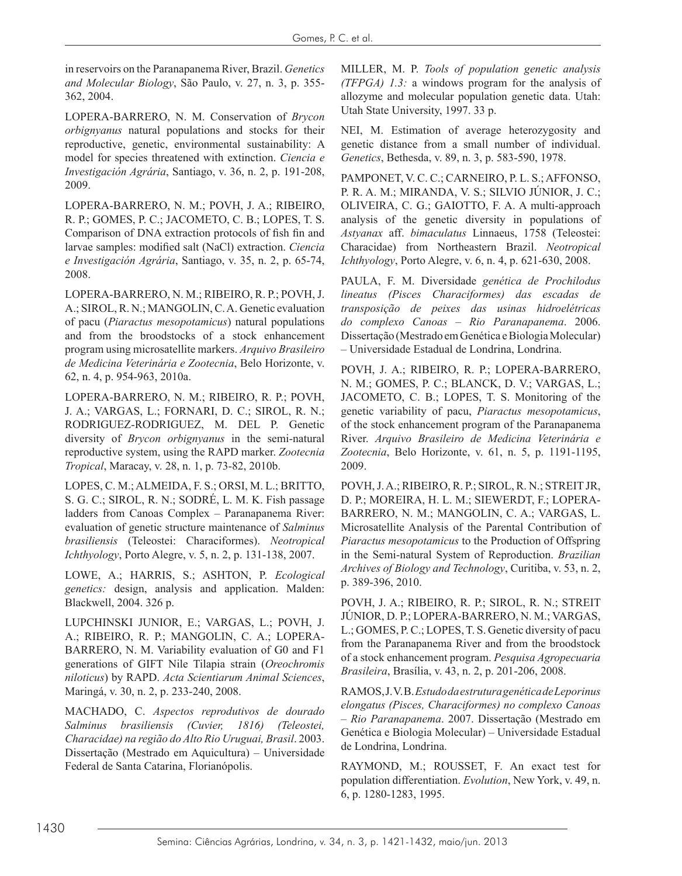in reservoirs on the Paranapanema River, Brazil. *Genetics and Molecular Biology*, São Paulo, v. 27, n. 3, p. 355- 362, 2004.

LOPERA-BARRERO, N. M. Conservation of *Brycon orbignyanus* natural populations and stocks for their reproductive, genetic, environmental sustainability: A model for species threatened with extinction. *Ciencia e Investigación Agrária*, Santiago, v. 36, n. 2, p. 191-208, 2009.

LOPERA-BARRERO, N. M.; POVH, J. A.; RIBEIRO, R. P.; GOMES, P. C.; JACOMETO, C. B.; LOPES, T. S. Comparison of DNA extraction protocols of fish fin and larvae samples: modified salt (NaCl) extraction. *Ciencia e Investigación Agrária*, Santiago, v. 35, n. 2, p. 65-74, 2008.

LOPERA-BARRERO, N. M.; RIBEIRO, R. P.; POVH, J. A.; SIROL, R. N.; MANGOLIN, C. A. Genetic evaluation of pacu (*Piaractus mesopotamicus*) natural populations and from the broodstocks of a stock enhancement program using microsatellite markers. *Arquivo Brasileiro de Medicina Veterinária e Zootecnia*, Belo Horizonte, v. 62, n. 4, p. 954-963, 2010a.

LOPERA-BARRERO, N. M.; RIBEIRO, R. P.; POVH, J. A.; VARGAS, L.; FORNARI, D. C.; SIROL, R. N.; RODRIGUEZ-RODRIGUEZ, M. DEL P. Genetic diversity of *Brycon orbignyanus* in the semi-natural reproductive system, using the RAPD marker. *Zootecnia Tropical*, Maracay, v. 28, n. 1, p. 73-82, 2010b.

LOPES, C. M.; ALMEIDA, F. S.; ORSI, M. L.; BRITTO, S. G. C.; SIROL, R. N.; SODRÉ, L. M. K. Fish passage ladders from Canoas Complex – Paranapanema River: evaluation of genetic structure maintenance of *Salminus brasiliensis* (Teleostei: Characiformes). *Neotropical Ichthyology*, Porto Alegre, v. 5, n. 2, p. 131-138, 2007.

LOWE, A.; HARRIS, S.; ASHTON, P. *Ecological genetics:* design, analysis and application. Malden: Blackwell, 2004. 326 p.

LUPCHINSKI JUNIOR, E.; VARGAS, L.; POVH, J. A.; RIBEIRO, R. P.; MANGOLIN, C. A.; LOPERA-BARRERO, N. M. Variability evaluation of G0 and F1 generations of GIFT Nile Tilapia strain (*Oreochromis niloticus*) by RAPD. *Acta Scientiarum Animal Sciences*, Maringá, v. 30, n. 2, p. 233-240, 2008.

MACHADO, C. *Aspectos reprodutivos de dourado Salminus brasiliensis (Cuvier, 1816) (Teleostei, Characidae) na região do Alto Rio Uruguai, Brasil*. 2003. Dissertação (Mestrado em Aquicultura) – Universidade Federal de Santa Catarina, Florianópolis.

MILLER, M. P. *Tools of population genetic analysis (TFPGA) 1.3:* a windows program for the analysis of allozyme and molecular population genetic data. Utah: Utah State University, 1997. 33 p.

NEI, M. Estimation of average heterozygosity and genetic distance from a small number of individual. *Genetics*, Bethesda, v. 89, n. 3, p. 583-590, 1978.

PAMPONET, V. C. C.; CARNEIRO, P. L. S.; AFFONSO, P. R. A. M.; MIRANDA, V. S.; SILVIO JÚNIOR, J. C.; OLIVEIRA, C. G.; GAIOTTO, F. A. A multi-approach analysis of the genetic diversity in populations of *Astyanax* aff. *bimaculatus* Linnaeus, 1758 (Teleostei: Characidae) from Northeastern Brazil. *Neotropical Ichthyology*, Porto Alegre, v. 6, n. 4, p. 621-630, 2008.

PAULA, F. M. Diversidade *genética de Prochilodus lineatus (Pisces Characiformes) das escadas de transposição de peixes das usinas hidroelétricas do complexo Canoas – Rio Paranapanema*. 2006. Dissertação (Mestrado em Genética e Biologia Molecular) – Universidade Estadual de Londrina, Londrina.

POVH, J. A.; RIBEIRO, R. P.; LOPERA-BARRERO, N. M.; GOMES, P. C.; BLANCK, D. V.; VARGAS, L.; JACOMETO, C. B.; LOPES, T. S. Monitoring of the genetic variability of pacu, *Piaractus mesopotamicus*, of the stock enhancement program of the Paranapanema River. *Arquivo Brasileiro de Medicina Veterinária e Zootecnia*, Belo Horizonte, v. 61, n. 5, p. 1191-1195, 2009.

POVH, J. A.; RIBEIRO, R. P.; SIROL, R. N.; STREIT JR, D. P.; MOREIRA, H. L. M.; SIEWERDT, F.; LOPERA-BARRERO, N. M.; MANGOLIN, C. A.; VARGAS, L. Microsatellite Analysis of the Parental Contribution of *Piaractus mesopotamicus* to the Production of Offspring in the Semi-natural System of Reproduction. *Brazilian Archives of Biology and Technology*, Curitiba, v. 53, n. 2, p. 389-396, 2010.

POVH, J. A.; RIBEIRO, R. P.; SIROL, R. N.; STREIT JÚNIOR, D. P.; LOPERA-BARRERO, N. M.; VARGAS, L.; GOMES, P. C.; LOPES, T. S. Genetic diversity of pacu from the Paranapanema River and from the broodstock of a stock enhancement program. *Pesquisa Agropecuaria Brasileira*, Brasília, v. 43, n. 2, p. 201-206, 2008.

RAMOS, J. V. B. *Estudo da estrutura genética de Leporinus elongatus (Pisces, Characiformes) no complexo Canoas – Rio Paranapanema*. 2007. Dissertação (Mestrado em Genética e Biologia Molecular) – Universidade Estadual de Londrina, Londrina.

RAYMOND, M.; ROUSSET, F. An exact test for population differentiation. *Evolution*, New York, v. 49, n. 6, p. 1280-1283, 1995.